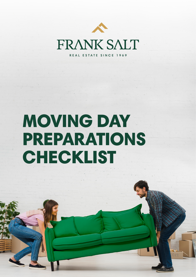

# MOVING DAY PREPARATIONS **CHECKLIST**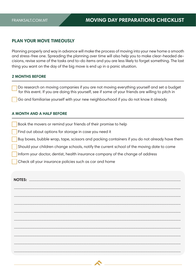### **PLAN YOUR MOVE TIMEOUSLY**

Planning properly and way in advance will make the process of moving into your new home a smooth and stress-free one. Spreading the planning over time will also help you to make clear-headed decisions, revise some of the tasks and to-do items and you are less likely to forget something. The last thing you want on the day of the big move is end up in a panic situation.

#### **2 MONTHS BEFORE**

Do research on moving companies if you are not moving everything yourself and set a budget for this event. If you are doing this yourself, see if some of your friends are willing to pitch in

Go and familiarise yourself with your new neighbourhood if you do not know it already

#### **A MONTH AND A HALF BEFORE**

Book the movers or remind your friends of their promise to help

Find out about options for storage in case you need it

Buy boxes, bubble wrap, tape, scissors and packing containers if you do not already have them

Should your children change schools, notify the current school of the moving date to come

Inform your doctor, dentist, health insurance company of the change of address

Check all your insurance policies such as car and home

| <b>NOTES:</b> |  |
|---------------|--|
|               |  |
|               |  |
|               |  |
|               |  |
|               |  |
|               |  |
|               |  |
|               |  |
|               |  |

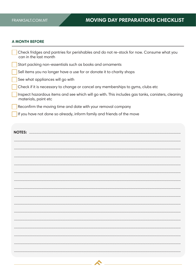#### **A MONTH BEFORE**

| Check fridges and pantries for perishables and do not re-stock for now. Consume what you<br>can in the last month        |
|--------------------------------------------------------------------------------------------------------------------------|
| Start packing non-essentials such as books and ornaments                                                                 |
| Sell items you no longer have a use for or donate it to charity shops                                                    |
| See what appliances will go with                                                                                         |
| Check if it is necessary to change or cancel any memberships to gyms, clubs etc                                          |
| Inspect hazardous items and see which will go with. This includes gas tanks, canisters, cleaning<br>materials, paint etc |
| Reconfirm the moving time and date with your removal company                                                             |
| If you have not done so already, inform family and friends of the move                                                   |
|                                                                                                                          |
|                                                                                                                          |

| <b>NOTES:</b> |  |
|---------------|--|
|               |  |
|               |  |
|               |  |
|               |  |
|               |  |
|               |  |
|               |  |
|               |  |
|               |  |
|               |  |
|               |  |
|               |  |
|               |  |
|               |  |
|               |  |
|               |  |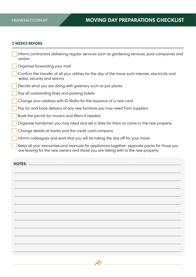#### **2 WEEKS BEFORE**

 $\sim$  10  $\pm$ 

| Inform contractors delivering regular services such as gardening services, pool companies and<br>similar                                                                       |
|--------------------------------------------------------------------------------------------------------------------------------------------------------------------------------|
| Organise forwarding your mail                                                                                                                                                  |
| Confirm the transfer of all your utilities for the day of the move such internet, electricity and<br>water, security and alarms                                                |
| Decide what you are doing with greenery such as pot plants                                                                                                                     |
| Pay all outstanding fines and parking tickets                                                                                                                                  |
| Change your address with ID Malta for the issuance of a new card                                                                                                               |
| Pay for and book delivery of any new furniture you may need from suppliers                                                                                                     |
| Book the permit for movers and lifters if needed                                                                                                                               |
| Organise handymen you may need and set a date for them to come to the new property                                                                                             |
| Change details at banks and the credit card company                                                                                                                            |
| Inform colleagues and work that you will be taking the day off for your move                                                                                                   |
| Keep all your warranties and manuals for appliances together: separate packs for those you<br>are leaving for the new owners and those you are taking with to the new property |
| <b>NOTES: </b>                                                                                                                                                                 |
|                                                                                                                                                                                |
|                                                                                                                                                                                |
|                                                                                                                                                                                |
|                                                                                                                                                                                |
|                                                                                                                                                                                |
|                                                                                                                                                                                |
|                                                                                                                                                                                |
|                                                                                                                                                                                |
|                                                                                                                                                                                |
|                                                                                                                                                                                |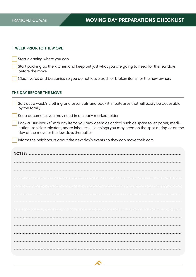#### **1 WEEK PRIOR TO THE MOVE**

| THE BAY BEFORE THE MOVE                                                                                       |  |
|---------------------------------------------------------------------------------------------------------------|--|
| Clean yards and balconies so you do not leave trash or broken items for the new owners                        |  |
| Start packing up the kitchen and keep out just what you are going to need for the few days<br>before the move |  |
| Start cleaning where you can                                                                                  |  |

#### THE DAY BEFORE THE MOVE

| Sort out a week's clothing and essentials and pack it in suitcases that will easily be accessible<br>by the family                                                                                                                                 |  |
|----------------------------------------------------------------------------------------------------------------------------------------------------------------------------------------------------------------------------------------------------|--|
| Keep documents you may need in a clearly marked folder                                                                                                                                                                                             |  |
| Pack a "survivor kit" with any items you may deem as critical such as spare toilet paper, medi-<br>cation, sanitizer, plasters, spare inhalers i.e. things you may need on the spot during or on the<br>day of the move or the few days thereafter |  |
| Inform the neighbours about the next day's events so they can move their cars                                                                                                                                                                      |  |
| <b>NOTES: </b>                                                                                                                                                                                                                                     |  |
|                                                                                                                                                                                                                                                    |  |
|                                                                                                                                                                                                                                                    |  |
|                                                                                                                                                                                                                                                    |  |
|                                                                                                                                                                                                                                                    |  |
|                                                                                                                                                                                                                                                    |  |
|                                                                                                                                                                                                                                                    |  |
|                                                                                                                                                                                                                                                    |  |
|                                                                                                                                                                                                                                                    |  |
|                                                                                                                                                                                                                                                    |  |
|                                                                                                                                                                                                                                                    |  |
|                                                                                                                                                                                                                                                    |  |
|                                                                                                                                                                                                                                                    |  |
|                                                                                                                                                                                                                                                    |  |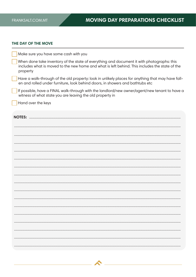#### THE DAY OF THE MOVE

| Make sure you have some cash with you                                                                                                                                                                    |
|----------------------------------------------------------------------------------------------------------------------------------------------------------------------------------------------------------|
| When done take inventory of the state of everything and document it with photographs: this<br>includes what is moved to the new home and what is left behind. This includes the state of the<br>property |
| Have a walk-through of the old property: look in unlikely places for anything that may have fall-<br>en and rolled under furniture, look behind doors, in showers and bathtubs etc                       |
| If possible, have a FINAL walk-through with the landlord/new owner/agent/new tenant to have c<br>witness of what state you are leaving the old property in                                               |
| Hand over the keys                                                                                                                                                                                       |
| <b>NOTES: </b>                                                                                                                                                                                           |
|                                                                                                                                                                                                          |
|                                                                                                                                                                                                          |
|                                                                                                                                                                                                          |
|                                                                                                                                                                                                          |
|                                                                                                                                                                                                          |
|                                                                                                                                                                                                          |
|                                                                                                                                                                                                          |
|                                                                                                                                                                                                          |
|                                                                                                                                                                                                          |
|                                                                                                                                                                                                          |
|                                                                                                                                                                                                          |
|                                                                                                                                                                                                          |
|                                                                                                                                                                                                          |
|                                                                                                                                                                                                          |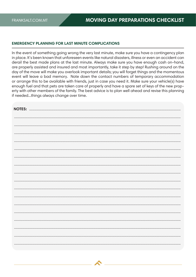#### **EMERGENCY PLANNING FOR LAST MINUTE COMPLICATIONS**

In the event of something going wrong the very last minute, make sure you have a contingency plan in place. It's been known that unforeseen events like natural disasters, illness or even an accident can derail the best made plans at the last minute. Always make sure you have enough cash on-hand, are properly assisted and insured and most importantly, take it step by step! Rushing around on the day of the move will make you overlook important details; you will forget things and the momentous event will leave a bad memory. Note down the contact numbers of temporary accommodation or arrange this to be available with friends, just in case you need it. Make sure your vehicle(s) have enough fuel and that pets are taken care of properly and have a spare set of keys of the new property with other members of the family. The best advice is to plan well ahead and revise this planning if needed...things always change over time.

| <b>NOTES:</b> |
|---------------|
|               |
|               |
|               |
|               |
|               |
|               |
|               |
|               |
|               |
|               |
|               |
|               |
|               |
|               |
|               |
|               |
|               |